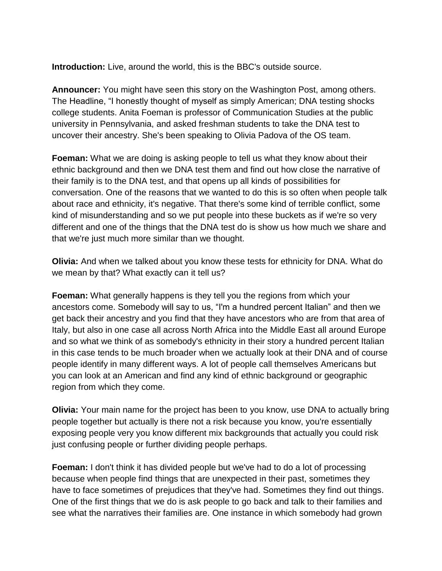**Introduction:** Live, around the world, this is the BBC's outside source.

**Announcer:** You might have seen this story on the Washington Post, among others. The Headline, "I honestly thought of myself as simply American; DNA testing shocks college students. Anita Foeman is professor of Communication Studies at the public university in Pennsylvania, and asked freshman students to take the DNA test to uncover their ancestry. She's been speaking to Olivia Padova of the OS team.

**Foeman:** What we are doing is asking people to tell us what they know about their ethnic background and then we DNA test them and find out how close the narrative of their family is to the DNA test, and that opens up all kinds of possibilities for conversation. One of the reasons that we wanted to do this is so often when people talk about race and ethnicity, it's negative. That there's some kind of terrible conflict, some kind of misunderstanding and so we put people into these buckets as if we're so very different and one of the things that the DNA test do is show us how much we share and that we're just much more similar than we thought.

**Olivia:** And when we talked about you know these tests for ethnicity for DNA. What do we mean by that? What exactly can it tell us?

**Foeman:** What generally happens is they tell you the regions from which your ancestors come. Somebody will say to us, "I'm a hundred percent Italian" and then we get back their ancestry and you find that they have ancestors who are from that area of Italy, but also in one case all across North Africa into the Middle East all around Europe and so what we think of as somebody's ethnicity in their story a hundred percent Italian in this case tends to be much broader when we actually look at their DNA and of course people identify in many different ways. A lot of people call themselves Americans but you can look at an American and find any kind of ethnic background or geographic region from which they come.

**Olivia:** Your main name for the project has been to you know, use DNA to actually bring people together but actually is there not a risk because you know, you're essentially exposing people very you know different mix backgrounds that actually you could risk just confusing people or further dividing people perhaps.

**Foeman:** I don't think it has divided people but we've had to do a lot of processing because when people find things that are unexpected in their past, sometimes they have to face sometimes of prejudices that they've had. Sometimes they find out things. One of the first things that we do is ask people to go back and talk to their families and see what the narratives their families are. One instance in which somebody had grown